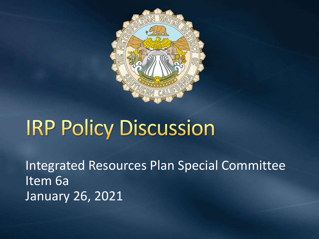

# **IRP Policy Discussion**

Integrated Resources Plan Special Committee Item 6a January 26, 2021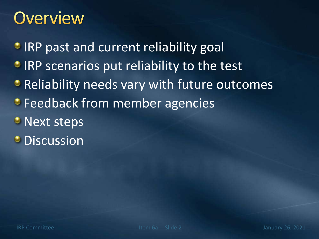#### **Overview**

**IRP past and current reliability goal** 

- **IRP scenarios put reliability to the test**
- **Reliability needs vary with future outcomes**
- **Feedback from member agencies**
- **Next steps**
- **O** Discussion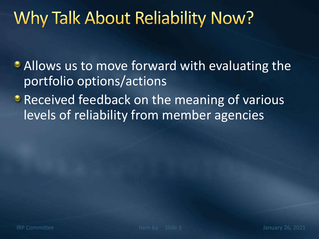# Why Talk About Reliability Now?

• Allows us to move forward with evaluating the portfolio options/actions

**• Received feedback on the meaning of various** levels of reliability from member agencies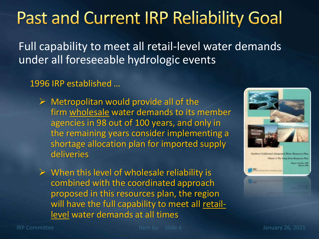**Past and Current IRP Reliability Goal** 

Full capability to meet all retail-level water demands under all foreseeable hydrologic events

1996 IRP established …

- $\triangleright$  Metropolitan would provide all of the firm wholesale water demands to its member agencies in 98 out of 100 years, and only in the remaining years consider implementing a shortage allocation plan for imported supply deliveries
- $\triangleright$  When this level of wholesale reliability is combined with the coordinated approach proposed in this resources plan, the region will have the full capability to meet all retaillevel water demands at all times

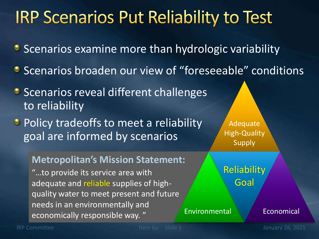### **IRP Scenarios Put Reliability to Test**

- **Scenarios examine more than hydrologic variability**
- **Scenarios broaden our view of "foreseeable" conditions**
- **Scenarios reveal different challenges** to reliability
- **•** Policy tradeoffs to meet a reliability goal are informed by scenarios

#### **Metropolitan's Mission Statement:**

"…to provide its service area with adequate and reliable supplies of highquality water to meet present and future needs in an environmentally and economically responsible way. "

Adequate High-Quality Supply

Reliability Goal

#### Environmental Economical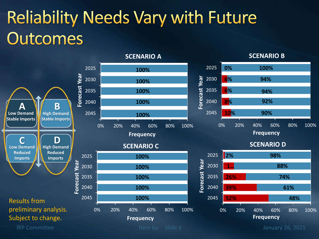# **Reliability Needs Vary with Future Outcomes**

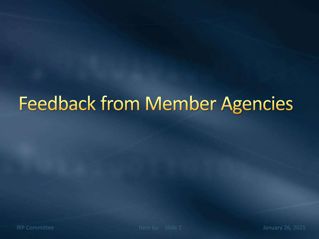# **Feedback from Member Agencies**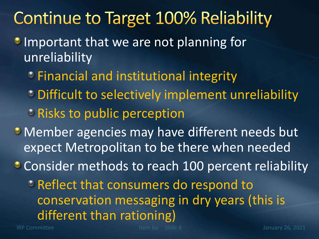### **Continue to Target 100% Reliability**

- **Important that we are not planning for** unreliability
	- **Example 1 and institutional integrity**
	- **Difficult to selectively implement unreliability**
	- **Prints** to public perception
- **Member agencies may have different needs but** expect Metropolitan to be there when needed

**Consider methods to reach 100 percent reliability** 

**PReflect that consumers do respond to** conservation messaging in dry years (this is different than rationing)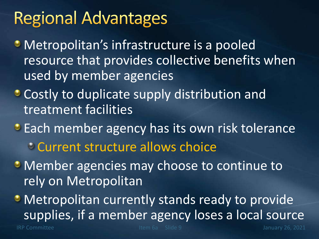## **Regional Advantages**

- **Metropolitan's infrastructure is a pooled** resource that provides collective benefits when used by member agencies
- **Costly to duplicate supply distribution and** treatment facilities
- **Each member agency has its own risk tolerance** Current structure allows choice
- **Member agencies may choose to continue to** rely on Metropolitan
- Metropolitan currently stands ready to provide supplies, if a member agency loses a local source

IRP Committee **Item 6a** Slide 9 January 26, 2021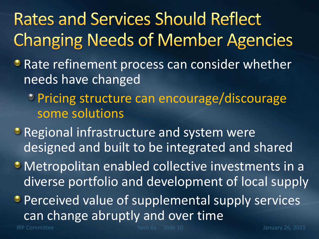# **Rates and Services Should Reflect Changing Needs of Member Agencies**

- **Rate refinement process can consider whether** needs have changed
	- Pricing structure can encourage/discourage some solutions
- **Regional infrastructure and system were** designed and built to be integrated and shared
- Metropolitan enabled collective investments in a diverse portfolio and development of local supply
- **Perceived value of supplemental supply services** can change abruptly and over time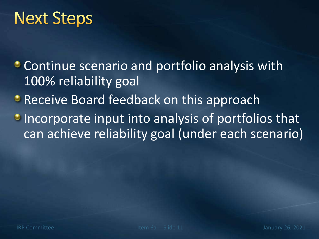#### **Next Steps**

Continue scenario and portfolio analysis with 100% reliability goal

**• Receive Board feedback on this approach** 

**Incorporate input into analysis of portfolios that** can achieve reliability goal (under each scenario)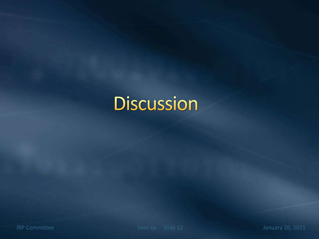# **Discussion**